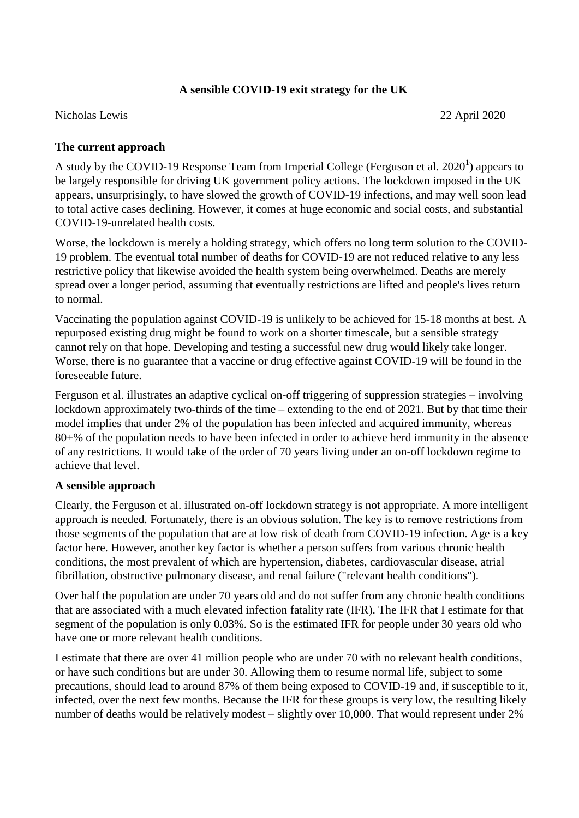## **A sensible COVID-19 exit strategy for the UK**

Nicholas Lewis 22 April 2020

## **The current approach**

A study by the COVID-19 Response Team from Imperial College (Ferguson et al.  $2020<sup>1</sup>$ ) appears to be largely responsible for driving UK government policy actions. The lockdown imposed in the UK appears, unsurprisingly, to have slowed the growth of COVID-19 infections, and may well soon lead to total active cases declining. However, it comes at huge economic and social costs, and substantial COVID-19-unrelated health costs.

Worse, the lockdown is merely a holding strategy, which offers no long term solution to the COVID-19 problem. The eventual total number of deaths for COVID-19 are not reduced relative to any less restrictive policy that likewise avoided the health system being overwhelmed. Deaths are merely spread over a longer period, assuming that eventually restrictions are lifted and people's lives return to normal.

Vaccinating the population against COVID-19 is unlikely to be achieved for 15-18 months at best. A repurposed existing drug might be found to work on a shorter timescale, but a sensible strategy cannot rely on that hope. Developing and testing a successful new drug would likely take longer. Worse, there is no guarantee that a vaccine or drug effective against COVID-19 will be found in the foreseeable future.

Ferguson et al. illustrates an adaptive cyclical on-off triggering of suppression strategies – involving lockdown approximately two-thirds of the time – extending to the end of 2021. But by that time their model implies that under 2% of the population has been infected and acquired immunity, whereas 80+% of the population needs to have been infected in order to achieve herd immunity in the absence of any restrictions. It would take of the order of 70 years living under an on-off lockdown regime to achieve that level.

## **A sensible approach**

Clearly, the Ferguson et al. illustrated on-off lockdown strategy is not appropriate. A more intelligent approach is needed. Fortunately, there is an obvious solution. The key is to remove restrictions from those segments of the population that are at low risk of death from COVID-19 infection. Age is a key factor here. However, another key factor is whether a person suffers from various chronic health conditions, the most prevalent of which are hypertension, diabetes, cardiovascular disease, atrial fibrillation, obstructive pulmonary disease, and renal failure ("relevant health conditions").

Over half the population are under 70 years old and do not suffer from any chronic health conditions that are associated with a much elevated infection fatality rate (IFR). The IFR that I estimate for that segment of the population is only 0.03%. So is the estimated IFR for people under 30 years old who have one or more relevant health conditions.

I estimate that there are over 41 million people who are under 70 with no relevant health conditions, or have such conditions but are under 30. Allowing them to resume normal life, subject to some precautions, should lead to around 87% of them being exposed to COVID-19 and, if susceptible to it, infected, over the next few months. Because the IFR for these groups is very low, the resulting likely number of deaths would be relatively modest – slightly over 10,000. That would represent under 2%